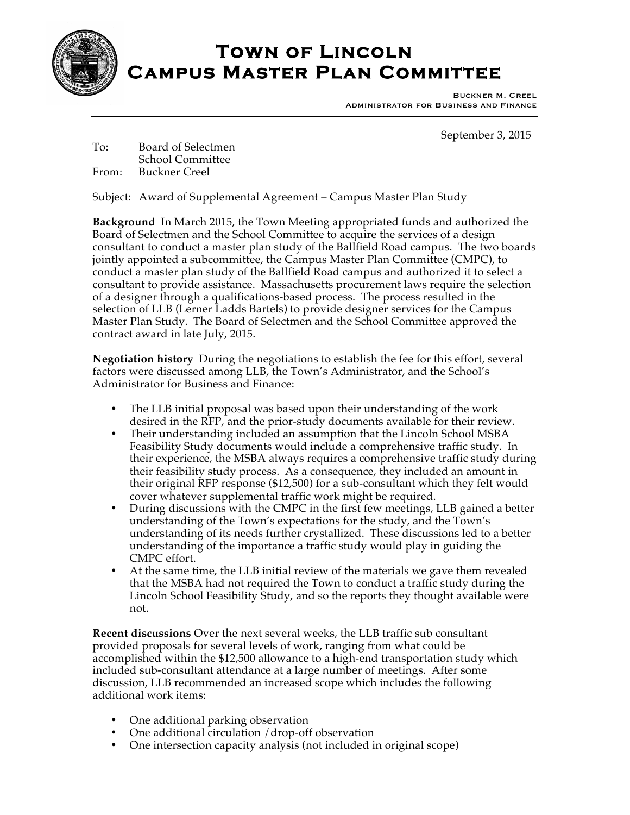

## **Town of Lincoln Campus Master Plan Committee**

Buckner M. Creel Administrator for Business and Finance

September 3, 2015

To: Board of Selectmen School Committee From: Buckner Creel

Subject: Award of Supplemental Agreement – Campus Master Plan Study

**Background** In March 2015, the Town Meeting appropriated funds and authorized the Board of Selectmen and the School Committee to acquire the services of a design consultant to conduct a master plan study of the Ballfield Road campus. The two boards jointly appointed a subcommittee, the Campus Master Plan Committee (CMPC), to conduct a master plan study of the Ballfield Road campus and authorized it to select a consultant to provide assistance. Massachusetts procurement laws require the selection of a designer through a qualifications-based process. The process resulted in the selection of LLB (Lerner Ladds Bartels) to provide designer services for the Campus Master Plan Study. The Board of Selectmen and the School Committee approved the contract award in late July, 2015.

**Negotiation history** During the negotiations to establish the fee for this effort, several factors were discussed among LLB, the Town's Administrator, and the School's Administrator for Business and Finance:

- The LLB initial proposal was based upon their understanding of the work desired in the RFP, and the prior-study documents available for their review.
- Their understanding included an assumption that the Lincoln School MSBA Feasibility Study documents would include a comprehensive traffic study. In their experience, the MSBA always requires a comprehensive traffic study during their feasibility study process. As a consequence, they included an amount in their original RFP response (\$12,500) for a sub-consultant which they felt would cover whatever supplemental traffic work might be required.
- During discussions with the CMPC in the first few meetings, LLB gained a better understanding of the Town's expectations for the study, and the Town's understanding of its needs further crystallized. These discussions led to a better understanding of the importance a traffic study would play in guiding the CMPC effort.
- At the same time, the LLB initial review of the materials we gave them revealed that the MSBA had not required the Town to conduct a traffic study during the Lincoln School Feasibility Study, and so the reports they thought available were not.

**Recent discussions** Over the next several weeks, the LLB traffic sub consultant provided proposals for several levels of work, ranging from what could be accomplished within the \$12,500 allowance to a high-end transportation study which included sub-consultant attendance at a large number of meetings. After some discussion, LLB recommended an increased scope which includes the following additional work items:

- One additional parking observation
- One additional circulation / drop-off observation
- One intersection capacity analysis (not included in original scope)